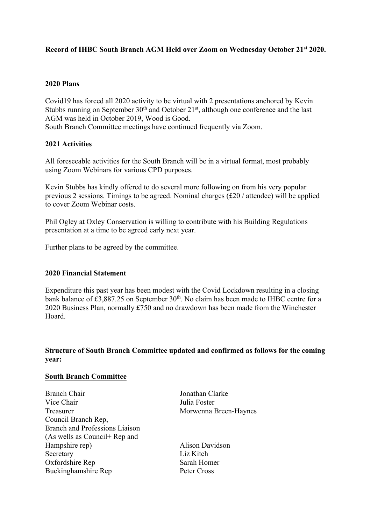# **Record of IHBC South Branch AGM Held over Zoom on Wednesday October 21st 2020.**

## **2020 Plans**

Covid19 has forced all 2020 activity to be virtual with 2 presentations anchored by Kevin Stubbs running on September  $30<sup>th</sup>$  and October  $21<sup>st</sup>$ , although one conference and the last AGM was held in October 2019, Wood is Good.

South Branch Committee meetings have continued frequently via Zoom.

### **2021 Activities**

All foreseeable activities for the South Branch will be in a virtual format, most probably using Zoom Webinars for various CPD purposes.

Kevin Stubbs has kindly offered to do several more following on from his very popular previous 2 sessions. Timings to be agreed. Nominal charges (£20 / attendee) will be applied to cover Zoom Webinar costs.

Phil Ogley at Oxley Conservation is willing to contribute with his Building Regulations presentation at a time to be agreed early next year.

Further plans to be agreed by the committee.

#### **2020 Financial Statement**

Expenditure this past year has been modest with the Covid Lockdown resulting in a closing bank balance of  $\text{\textsterling}3,887.25$  on September 30<sup>th</sup>. No claim has been made to IHBC centre for a 2020 Business Plan, normally £750 and no drawdown has been made from the Winchester Hoard.

## **Structure of South Branch Committee updated and confirmed as follows for the coming year:**

#### **South Branch Committee**

| <b>Branch Chair</b>                   |
|---------------------------------------|
| Vice Chair                            |
| Treasurer                             |
| Council Branch Rep,                   |
| <b>Branch and Professions Liaison</b> |
| (As wells as Council+ Rep and         |
| Hampshire rep)                        |
| Secretary                             |
| Oxfordshire Rep                       |
| Buckinghamshire Rep                   |

Ionathan Clarke Julia Foster Morwenna Breen-Haynes

Alison Davidson Liz Kitch Sarah Homer Peter Cross